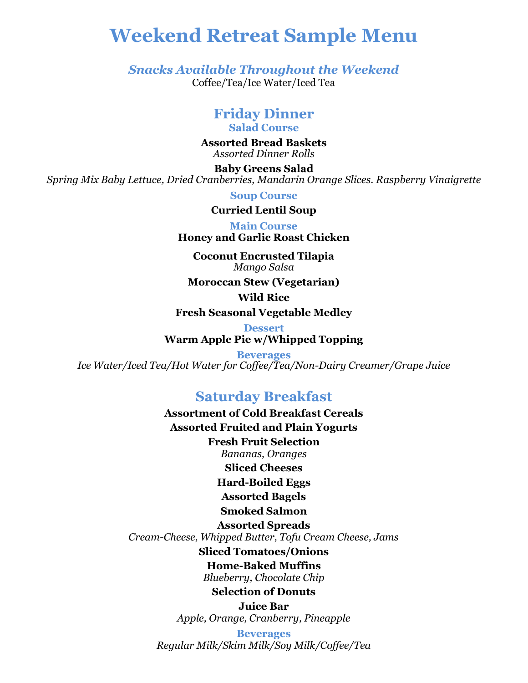# **Weekend Retreat Sample Menu**

*Snacks Available Throughout the Weekend* Coffee/Tea/Ice Water/Iced Tea

# **Friday Dinner**

**Salad Course**

**Assorted Bread Baskets** *Assorted Dinner Rolls*

**Baby Greens Salad** *Spring Mix Baby Lettuce, Dried Cranberries, Mandarin Orange Slices. Raspberry Vinaigrette*

**Soup Course**

**Curried Lentil Soup**

**Main Course**

**Honey and Garlic Roast Chicken**

**Coconut Encrusted Tilapia** *Mango Salsa*

**Moroccan Stew (Vegetarian)**

**Wild Rice**

**Fresh Seasonal Vegetable Medley**

**Dessert Warm Apple Pie w/Whipped Topping**

**Beverages** *Ice Water/Iced Tea/Hot Water for Coffee/Tea/Non-Dairy Creamer/Grape Juice*

# **Saturday Breakfast**

**Assortment of Cold Breakfast Cereals Assorted Fruited and Plain Yogurts Fresh Fruit Selection** *Bananas, Oranges*

**Sliced Cheeses**

**Hard-Boiled Eggs**

**Assorted Bagels**

### **Smoked Salmon**

**Assorted Spreads** *Cream-Cheese, Whipped Butter, Tofu Cream Cheese, Jams*

**Sliced Tomatoes/Onions**

**Home-Baked Muffins**

*Blueberry, Chocolate Chip*

**Selection of Donuts**

**Juice Bar** *Apple, Orange, Cranberry, Pineapple*

**Beverages** *Regular Milk/Skim Milk/Soy Milk/Coffee/Tea*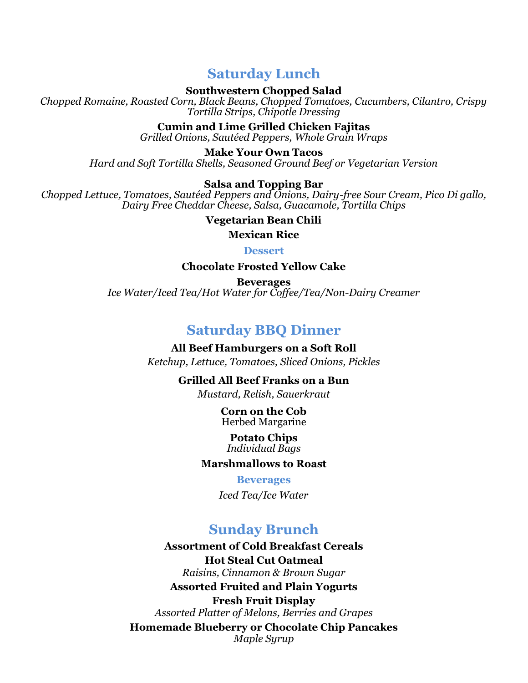# **Saturday Lunch**

**Southwestern Chopped Salad**

*Chopped Romaine, Roasted Corn, Black Beans, Chopped Tomatoes, Cucumbers, Cilantro, Crispy Tortilla Strips, Chipotle Dressing*

> **Cumin and Lime Grilled Chicken Fajitas** *Grilled Onions, Sautéed Peppers, Whole Grain Wraps*

**Make Your Own Tacos** *Hard and Soft Tortilla Shells, Seasoned Ground Beef or Vegetarian Version*

#### **Salsa and Topping Bar**

*Chopped Lettuce, Tomatoes, Sautéed Peppers and Onions, Dairy-free Sour Cream, Pico Di gallo, Dairy Free Cheddar Cheese, Salsa, Guacamole, Tortilla Chips*

#### **Vegetarian Bean Chili**

**Mexican Rice**

**Dessert**

**Chocolate Frosted Yellow Cake**

**Beverages** *Ice Water/Iced Tea/Hot Water for Coffee/Tea/Non-Dairy Creamer*

## **Saturday BBQ Dinner**

**All Beef Hamburgers on a Soft Roll** *Ketchup, Lettuce, Tomatoes, Sliced Onions, Pickles*

**Grilled All Beef Franks on a Bun**

*Mustard, Relish, Sauerkraut*

**Corn on the Cob** Herbed Margarine

**Potato Chips** *Individual Bags*

#### **Marshmallows to Roast**

**Beverages**

*Iced Tea/Ice Water*

# **Sunday Brunch**

**Assortment of Cold Breakfast Cereals Hot Steal Cut Oatmeal** *Raisins, Cinnamon & Brown Sugar* **Assorted Fruited and Plain Yogurts Fresh Fruit Display** *Assorted Platter of Melons, Berries and Grapes* **Homemade Blueberry or Chocolate Chip Pancakes** *Maple Syrup*